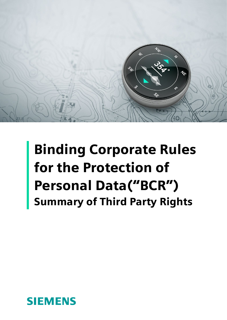

# Binding Corporate Rules for the Protection of Personal Data("BCR") Summary of Third Party Rights

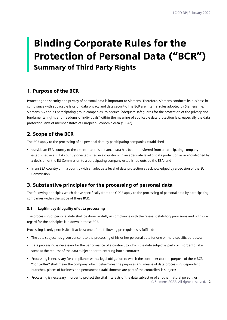## Binding Corporate Rules for the Protection of Personal Data ("BCR") Summary of Third Party Rights

## 1. Purpose of the BCR

Protecting the security and privacy of personal data is important to Siemens. Therefore, Siemens conducts its business in compliance with applicable laws on data privacy and data security. The BCR are internal rules adopted by Siemens, i.e. Siemens AG and its participating group companies, to adduce "adequate safeguards for the protection of the privacy and fundamental rights and freedoms of individuals" within the meaning of applicable data protection law, especially the data protection laws of member states of European Economic Area **("EEA")**.

## 2. Scope of the BCR

The BCR apply to the processing of all personal data by participating companies established

- outside an EEA country to the extent that this personal data has been transferred from a participating company established in an EEA country or established in a country with an adequate level of data protection as acknowledged by a decision of the EU Commission to a participating company established outside the EEA; and
- in an EEA country or in a country with an adequate level of data protection as acknowledged by a decision of the EU Commission.

## 3. Substantive principles for the processing of personal data

The following principles which derive specifically from the GDPR apply to the processing of personal data by participating companies within the scope of these BCR:

#### 3.1 Legitimacy & legality of data processing

The processing of personal data shall be done lawfully in compliance with the relevant statutory provisions and with due regard for the principles laid down in these BCR.

Processing is only permissible if at least one of the following prerequisites is fulfilled:

- The data subject has given consent to the processing of his or her personal data for one or more specific purposes;
- Data processing is necessary for the performance of a contract to which the data subject is party or in order to take steps at the request of the data subject prior to entering into a contract;
- Processing is necessary for compliance with a legal obligation to which the controller (for the purpose of these BCR **"controller"** shall mean the company which determines the purposes and means of data processing; dependent branches, places of business and permanent establishments are part of the controller) is subject;
- © Siemens 2022. All rights reserved. **2** • Processing is necessary in order to protect the vital interests of the data subject or of another natural person; or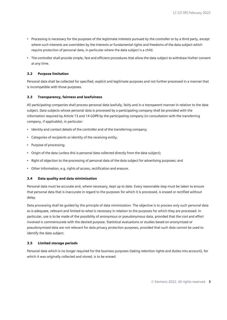- Processing is necessary for the purposes of the legitimate interests pursued by the controller or by a third party, except where such interests are overridden by the interests or fundamental rights and freedoms of the data subject which require protection of personal data, in particular where the data subject is a child.
- The controller shall provide simple, fast and efficient procedures that allow the data subject to withdraw his/her consent at any time.

#### 3.2 Purpose limitation

Personal data shall be collected for specified, explicit and legitimate purposes and not further processed in a manner that is incompatible with those purposes.

#### 3.3 Transparency, fairness and lawfulness

All participating companies shall process personal data lawfully, fairly and in a transparent manner in relation to the data subject. Data subjects whose personal data is processed by a participating company shall be provided with the information required by Article 13 and 14 GDPR by the participating company (in consultation with the transferring company, if applicable), in particular:

- Identity and contact details of the controller and of the transferring company;
- Categories of recipients or identity of the receiving entity;
- Purpose of processing;
- Origin of the data (unless this is personal data collected directly from the data subject);
- Right of objection to the processing of personal data of the data subject for advertising purposes; and
- Other information, e.g. rights of access, rectification and erasure.

#### 3.4 Data quality and data minimization

Personal data must be accurate and, where necessary, kept up to date. Every reasonable step must be taken to ensure that personal data that is inaccurate in regard to the purposes for which it is processed, is erased or rectified without delay.

Data processing shall be guided by the principle of data minimization. The objective is to process only such personal data as is adequate, relevant and limited to what is necessary in relation to the purposes for which they are processed. In particular, use is to be made of the possibility of anonymous or pseudonymous data, provided that the cost and effort involved is commensurate with the desired purpose. Statistical evaluations or studies based on anonymized or pseudonymized data are not relevant for data privacy protection purposes, provided that such data cannot be used to identify the data subject.

#### 3.5 Limited storage periods

Personal data which is no longer required for the business purposes (taking retention rights and duties into account), for which it was originally collected and stored, is to be erased.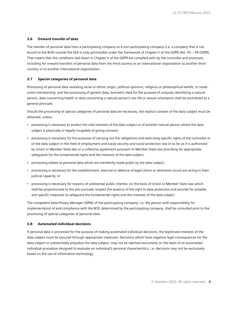#### 3.6 Onward transfer of data

The transfer of personal data from a participating company to a non-participating company (i.e. a company that is not bound to the BCR) outside the EEA is only permissible under the framework of Chapter V of the GDPR (Art. 45 – 49 GDPR). That means that the conditions laid down in Chapter V of the GDPR are complied with by the controller and processor, including for onward transfers of personal data from the third country or an international organization to another third country or to another international organization.

#### 3.7 Special categories of personal data

Processing of personal data revealing racial or ethnic origin, political opinions, religious or philosophical beliefs, or tradeunion membership, and the processing of genetic data, biometric data for the purpose of uniquely identifying a natural person, data concerning health or data concerning a natural person's sex life or sexual orientation shall be prohibited as a general principle.

Should the processing of special categories of personal data be necessary, the explicit consent of the data subject must be obtained, unless,

- processing is necessary to protect the vital interests of the data subject or of another natural person where the data subject is physically or legally incapable of giving consent;
- processing is necessary for the purposes of carrying out the obligations and exercising specific rights of the controller or of the data subject in the field of employment and social security and social protection law in so far as it is authorized by Union or Member State law or a collective agreement pursuant to Member State law providing for appropriate safeguards for the fundamental rights and the interests of the data subject;
- processing relates to personal data which are manifestly made public by the data subject;
- processing is necessary for the establishment, exercise or defence of legal claims or whenever courts are acting in their judicial capacity; or
- processing is necessary for reasons of substantial public interest, on the basis of Union or Member State law which shall be proportionate to the aim pursued, respect the essence of the right to data protection and provide for suitable and specific measures to safeguard the fundamental rights and the interests of the data subject.

The competent Data Privacy Manager (DPM) of the participating company, i.e. the person with responsibility for implementation of and compliance with the BCR, determined by the participating company, shall be consulted prior to the processing of special categories of personal data.

#### 3.8 Automated individual decisions

If personal data is processed for the purpose of making automated individual decisions, the legitimate interests of the data subject must be ensured through appropriate measures. Decisions which have negative legal consequences for the data subject or substantially prejudice the data subject, may not be reached exclusively on the basis of an automated individual procedure designed to evaluate an individual's personal characteristics, i.e. decisions may not be exclusively based on the use of information technology.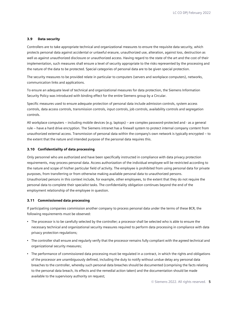#### 3.9 Data security

Controllers are to take appropriate technical and organizational measures to ensure the requisite data security, which protects personal data against accidental or unlawful erasure, unauthorized use, alteration, against loss, destruction as well as against unauthorized disclosure or unauthorized access. Having regard to the state of the art and the cost of their implementation, such measures shall ensure a level of security appropriate to the risks represented by the processing and the nature of the data to be protected. Special categories of personal data are to be given special protection.

The security measures to be provided relate in particular to computers (servers and workplace computers), networks, communication links and applications.

To ensure an adequate level of technical and organizational measures for data protection, the Siemens Information Security Policy was introduced with binding effect for the entire Siemens group by a Circular.

Specific measures used to ensure adequate protection of personal data include admission controls, system access controls, data access controls, transmission controls, input controls, job controls, availability controls and segregation controls.

All workplace computers – including mobile devices (e.g. laptops) – are complex password-protected and - as a general rule – have a hard drive encryption. The Siemens intranet has a firewall system to protect internal company content from unauthorized external access. Transmission of personal data within the company's own network is typically encrypted – to the extent that the nature and intended purpose of the personal data requires this.

#### 3.10 Confidentiality of data processing

Only personnel who are authorized and have been specifically instructed in compliance with data privacy protection requirements, may process personal data. Access authorization of the individual employee will be restricted according to the nature and scope of his/her particular field of activity. The employee is prohibited from using personal data for private purposes, from transferring or from otherwise making available personal data to unauthorized persons. Unauthorized persons in this context include, for example, other employees, to the extent that they do not require the personal data to complete their specialist tasks. The confidentiality obligation continues beyond the end of the employment relationship of the employee in question.

#### 3.11 Commissioned data processing

If participating companies commission another company to process personal data under the terms of these BCR, the following requirements must be observed:

- The processor is to be carefully selected by the controller; a processor shall be selected who is able to ensure the necessary technical and organizational security measures required to perform data processing in compliance with data privacy protection regulations;
- The controller shall ensure and regularly verify that the processor remains fully compliant with the agreed technical and organizational security measures;
- The performance of commissioned data processing must be regulated in a contract, in which the rights and obligations of the processor are unambiguously defined, including the duty to notify without undue delay any personal data breaches to the controller, whereby such personal data breaches should be documented (comprising the facts relating to the personal data breach, its effects and the remedial action taken) and the documentation should be made available to the supervisory authority on request;

© Siemens 2022. All rights reserved. **5**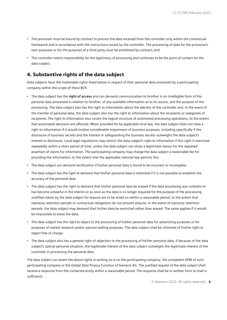- The processor must be bound by contract to process the data received from the controller only within the contractual framework and in accordance with the instructions issued by the controller. The processing of data for the processor's own purposes or for the purposes of a third party must be prohibited by contract; and
- The controller retains responsibility for the legitimacy of processing and continues to be the point of contact for the data subject.

## 4. Substantive rights of the data subject

Data subjects have the inalienable rights listed below in respect of their personal data processed by a participating company within the scope of these BCR.

- The data subject has the **right of access** and can demand communication to him/her in an intelligible form of the personal data processed in relation to him/her, of any available information as to its source, and the purpose of the processing. The data subject also has the right to information about the identity of the controller and, in the event of the transfer of personal data, the data subject also has the right to information about the recipients or categories of recipients. The right to information also covers the logical structure of automated processing operations, to the extent that automated decisions are affected. When provided for by applicable local law, the data subject does not have a right to information if it would involve considerable impairment of business purposes, including specifically if the disclosure of business secrets and the interest in safeguarding the business secrets outweighs the data subject's interest in disclosure. Local legal regulations may restrict the data subject's right to information if this right is exercised repeatedly within a short period of time, unless the data subject can show a legitimate reason for the repeated assertion of claims for information. The participating company may charge the data subject a reasonable fee for providing the information, to the extent that the applicable national law permits this.
- The data subject can demand rectification if his/her personal data is found to be incorrect or incomplete.
- The data subject has the right to demand that his/her personal data is restricted if it is not possible to establish the accuracy of the personal data.
- The data subject has the right to demand that his/her personal data be erased if the data processing was unlawful or has become unlawful in the interim or as soon as the data is no longer required for the purpose of the processing. Justified claims by the data subject for erasure are to be acted on within a reasonable period, to the extent that statutory retention periods or contractual obligations do not prevent erasure. In the event of statutory retention periods, the data subject may demand that his/her data be restricted rather than erased. The same applies if it would be impossible to erase the data.
- The data subject has the right to object to the processing of his/her personal data for advertising purposes or for purposes of market research and/or opinion polling purposes. The data subject shall be informed of his/her right to object free of charge.
- The data subject also has a general right of objection to the processing of his/her personal data, if because of the data subject's special personal situation, the legitimate interest of the data subject outweighs the legitimate interest of the controller in processing the personal data.

The data subject can assert the above rights in writing vis-à-vis the participating company, the competent DPM of such participating company or the Global Data Privacy Function of Siemens AG. The justified request of the data subject shall receive a response from the contacted entity within a reasonable period. The response shall be in written form (e-mail is sufficient).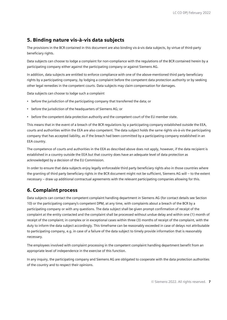## 5. Binding nature vis-à-vis data subjects

The provisions in the BCR contained in this document are also binding vis-à-vis data subjects, by virtue of third-party beneficiary rights.

Data subjects can choose to lodge a complaint for non-compliance with the regulations of the BCR contained herein by a participating company either against the participating company or against Siemens AG.

In addition, data subjects are entitled to enforce compliance with one of the above-mentioned third party beneficiary rights by a participating company, by lodging a complaint before the competent data protection authority or by seeking other legal remedies in the competent courts. Data subjects may claim compensation for damages.

Data subjects can choose to lodge such a complaint

- before the jurisdiction of the participating company that transferred the data; or
- before the jurisdiction of the headquarters of Siemens AG; or
- before the competent data protection authority and the competent court of the EU member state.

This means that in the event of a breach of the BCR regulations by a participating company established outside the EEA, courts and authorities within the EEA are also competent. The data subject holds the same rights vis-à-vis the participating company that has accepted liability, as if the breach had been committed by a participating company established in an EEA country.

The competence of courts and authorities in the EEA as described above does not apply, however, if the data recipient is established in a country outside the EEA but that country does have an adequate level of data protection as acknowledged by a decision of the EU Commission.

In order to ensure that data subjects enjoy legally enforceable third party beneficiary rights also in those countries where the granting of third party beneficiary rights in the BCR document might not be sufficient, Siemens AG will – to the extent necessary – draw up additional contractual agreements with the relevant participating companies allowing for this.

## 6. Complaint process

Data subjects can contact the competent complaint handling department in Siemens AG (for contact details see Section 10) or the participating company's competent DPM, at any time, with complaints about a breach of the BCR by a participating company or with any questions. The data subject shall be given prompt confirmation of receipt of the complaint at the entity contacted and the complaint shall be processed without undue delay and within one (1) month of receipt of the complaint; in complex or in exceptional cases within three (3) months of receipt of the complaint, with the duty to inform the data subject accordingly. This timeframe can be reasonably exceeded in case of delays not attributable to participating company, e.g. in case of a failure of the data subject to timely provide information that is reasonably necessary.

The employees involved with complaint processing in the competent complaint handling department benefit from an appropriate level of independence in the exercise of this function.

In any inquiry, the participating company and Siemens AG are obligated to cooperate with the data protection authorities of the country and to respect their opinions.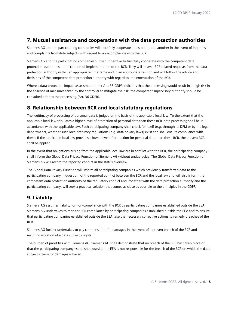## 7. Mutual assistance and cooperation with the data protection authorities

Siemens AG and the participating companies will trustfully cooperate and support one another in the event of inquiries and complaints from data subjects with regard to non-compliance with the BCR.

Siemens AG and the participating companies further undertake to trustfully cooperate with the competent data protection authorities in the context of implementation of the BCR. They will answer BCR-related requests from the data protection authority within an appropriate timeframe and in an appropriate fashion and will follow the advice and decisions of the competent data protection authority with regard to implementation of the BCR.

Where a data protection impact assessment under Art. 35 GDPR indicates that the processing would result in a high risk in the absence of measures taken by the controller to mitigate the risk, the competent supervisory authority should be consulted prior to the processing (Art. 36 GDPR).

## 8. Relationship between BCR and local statutory regulations

The legitimacy of processing of personal data is judged on the basis of the applicable local law. To the extent that the applicable local law stipulates a higher level of protection of personal data than these BCR, data processing shall be in accordance with the applicable law. Each participating company shall check for itself (e.g. through its DPM or by the legal department), whether such local statutory regulations (e.g. data privacy laws) exist and shall ensure compliance with these. If the applicable local law provides a lower level of protection for personal data than these BCR, the present BCR shall be applied.

In the event that obligations arising from the applicable local law are in conflict with the BCR, the participating company shall inform the Global Data Privacy Function of Siemens AG without undue delay. The Global Data Privacy Function of Siemens AG will record the reported conflict in the status overview.

The Global Data Privacy Function will inform all participating companies which previously transferred data to the participating company in question, of the reported conflict between the BCR and the local law and will also inform the competent data protection authority of the regulatory conflict and, together with the data protection authority and the participating company, will seek a practical solution that comes as close as possible to the principles in the GDPR.

## 9. Liability

Siemens AG assumes liability for non-compliance with the BCR by participating companies established outside the EEA. Siemens AG undertakes to monitor BCR compliance by participating companies established outside the EEA and to ensure that participating companies established outside the EEA take the necessary corrective actions to remedy breaches of the BCR.

Siemens AG further undertakes to pay compensation for damages in the event of a proven breach of the BCR and a resulting violation of a data subject's rights.

The burden of proof lies with Siemens AG. Siemens AG shall demonstrate that no breach of the BCR has taken place or that the participating company established outside the EEA is not responsible for the breach of the BCR on which the data subject's claim for damages is based.